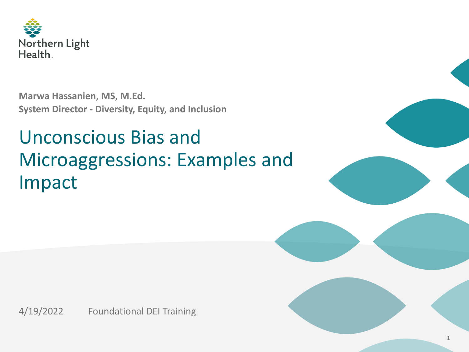

**Marwa Hassanien, MS, M.Ed. System Director - Diversity, Equity, and Inclusion**

## Unconscious Bias and Microaggressions: Examples and Impact



4/19/2022 Foundational DEI Training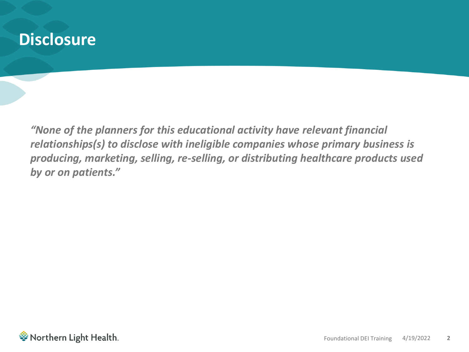#### **Disclosure**

*"None of the planners for this educational activity have relevant financial relationships(s) to disclose with ineligible companies whose primary business is producing, marketing, selling, re-selling, or distributing healthcare products used by or on patients."*

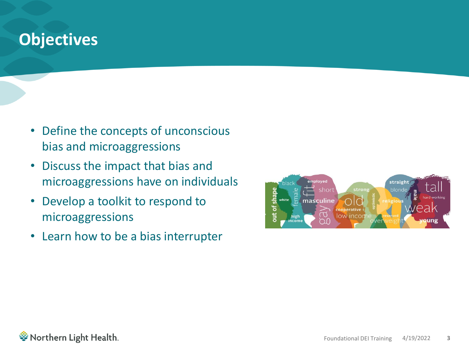#### **Objectives**

- Define the concepts of unconscious bias and microaggressions
- Discuss the impact that bias and microaggressions have on individuals
- Develop a toolkit to respond to microaggressions
- Learn how to be a bias interrupter



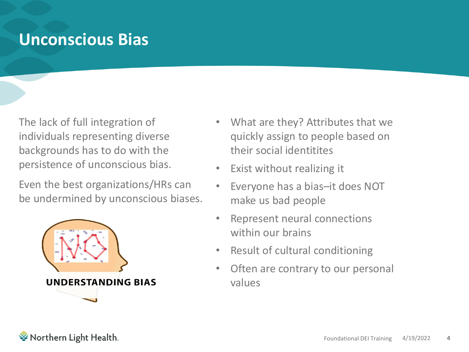#### **Unconscious Bias**

The lack of full integration of individuals representing diverse backgrounds has to do with the persistence of unconscious bias.

Even the best organizations/HRs can be undermined by unconscious biases.



- What are they? Attributes that we quickly assign to people based on their social identitites
- Exist without realizing it
- Everyone has a bias–it does NOT make us bad people
- Represent neural connections within our brains
- Result of cultural conditioning
- Often are contrary to our personal values

ैं Northern Light Health.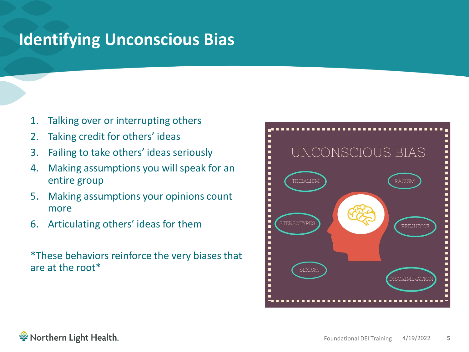### **Identifying Unconscious Bias**

- 1. Talking over or interrupting others
- 2. Taking credit for others' ideas
- 3. Failing to take others' ideas seriously
- 4. Making assumptions you will speak for an entire group
- 5. Making assumptions your opinions count more
- 6. Articulating others' ideas for them

\*These behaviors reinforce the very biases that are at the root\*

# UNCONSCIOUS BIAS TRIBALISM RACISM STEREOTYPES PREJUDICE **SEXISM DISCRIMINATIO**

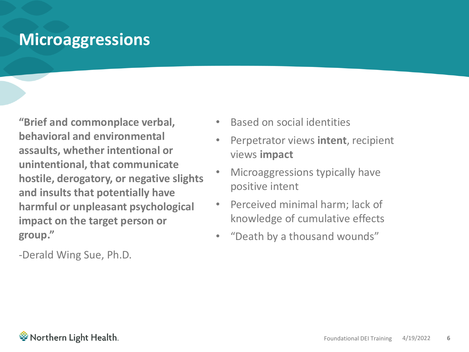#### **Microaggressions**

**"Brief and commonplace verbal, behavioral and environmental assaults, whether intentional or unintentional, that communicate hostile, derogatory, or negative slights and insults that potentially have harmful or unpleasant psychological impact on the target person or group."**

-Derald Wing Sue, Ph.D.

- Based on social identities
- Perpetrator views **intent**, recipient views **impact**
- Microaggressions typically have positive intent
- Perceived minimal harm; lack of knowledge of cumulative effects
- "Death by a thousand wounds"

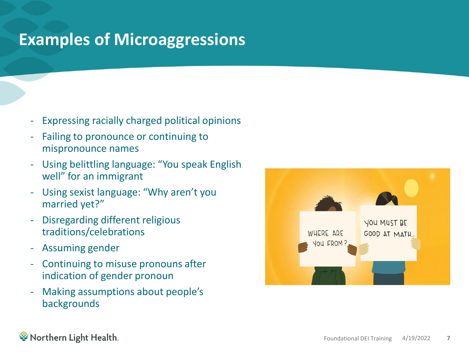### **Examples of Microaggressions**

- Expressing racially charged political opinions
- Failing to pronounce or continuing to mispronounce names
- Using belittling language: "You speak English well" for an immigrant
- Using sexist language: "Why aren't you married yet?"
- Disregarding different religious traditions/celebrations
- Assuming gender
- Continuing to misuse pronouns after indication of gender pronoun
- Making assumptions about people's backgrounds



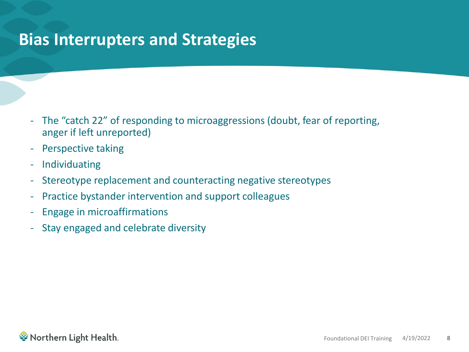#### **Bias Interrupters and Strategies**

- The "catch 22" of responding to microaggressions (doubt, fear of reporting, anger if left unreported)
- Perspective taking
- **Individuating**
- Stereotype replacement and counteracting negative stereotypes
- Practice bystander intervention and support colleagues
- Engage in microaffirmations
- Stay engaged and celebrate diversity

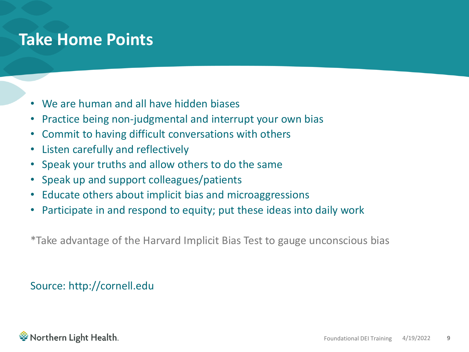#### **Take Home Points**

- We are human and all have hidden biases
- Practice being non-judgmental and interrupt your own bias
- Commit to having difficult conversations with others
- Listen carefully and reflectively
- Speak your truths and allow others to do the same
- Speak up and support colleagues/patients
- Educate others about implicit bias and microaggressions
- Participate in and respond to equity; put these ideas into daily work

\*Take advantage of the Harvard Implicit Bias Test to gauge unconscious bias

#### Source: http://cornell.edu